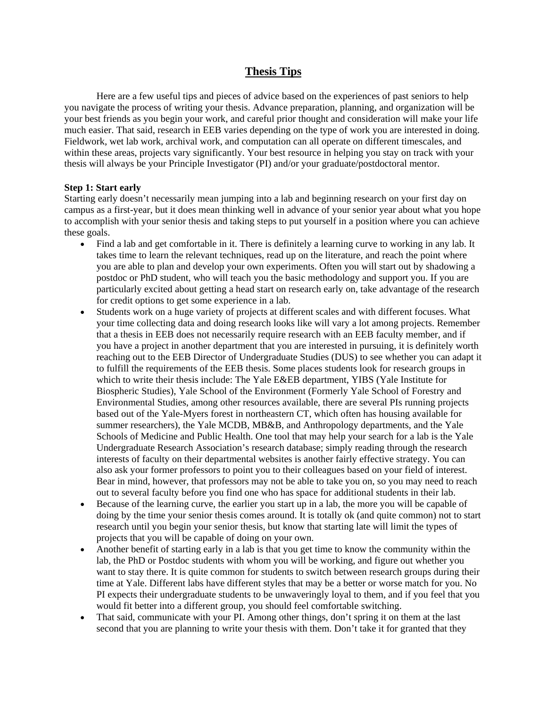# **Thesis Tips**

Here are a few useful tips and pieces of advice based on the experiences of past seniors to help you navigate the process of writing your thesis. Advance preparation, planning, and organization will be your best friends as you begin your work, and careful prior thought and consideration will make your life much easier. That said, research in EEB varies depending on the type of work you are interested in doing. Fieldwork, wet lab work, archival work, and computation can all operate on different timescales, and within these areas, projects vary significantly. Your best resource in helping you stay on track with your thesis will always be your Principle Investigator (PI) and/or your graduate/postdoctoral mentor.

### **Step 1: Start early**

Starting early doesn't necessarily mean jumping into a lab and beginning research on your first day on campus as a first-year, but it does mean thinking well in advance of your senior year about what you hope to accomplish with your senior thesis and taking steps to put yourself in a position where you can achieve these goals.

- Find a lab and get comfortable in it. There is definitely a learning curve to working in any lab. It takes time to learn the relevant techniques, read up on the literature, and reach the point where you are able to plan and develop your own experiments. Often you will start out by shadowing a postdoc or PhD student, who will teach you the basic methodology and support you. If you are particularly excited about getting a head start on research early on, take advantage of the research for credit options to get some experience in a lab.
- Students work on a huge variety of projects at different scales and with different focuses. What your time collecting data and doing research looks like will vary a lot among projects. Remember that a thesis in EEB does not necessarily require research with an EEB faculty member, and if you have a project in another department that you are interested in pursuing, it is definitely worth reaching out to the EEB Director of Undergraduate Studies (DUS) to see whether you can adapt it to fulfill the requirements of the EEB thesis. Some places students look for research groups in which to write their thesis include: The Yale E&EB department, YIBS (Yale Institute for Biospheric Studies), Yale School of the Environment (Formerly Yale School of Forestry and Environmental Studies, among other resources available, there are several PIs running projects based out of the Yale-Myers forest in northeastern CT, which often has housing available for summer researchers), the Yale MCDB, MB&B, and Anthropology departments, and the Yale Schools of Medicine and Public Health. One tool that may help your search for a lab is the Yale Undergraduate Research Association's research database; simply reading through the research interests of faculty on their departmental websites is another fairly effective strategy. You can also ask your former professors to point you to their colleagues based on your field of interest. Bear in mind, however, that professors may not be able to take you on, so you may need to reach out to several faculty before you find one who has space for additional students in their lab.
- Because of the learning curve, the earlier you start up in a lab, the more you will be capable of doing by the time your senior thesis comes around. It is totally ok (and quite common) not to start research until you begin your senior thesis, but know that starting late will limit the types of projects that you will be capable of doing on your own.
- Another benefit of starting early in a lab is that you get time to know the community within the lab, the PhD or Postdoc students with whom you will be working, and figure out whether you want to stay there. It is quite common for students to switch between research groups during their time at Yale. Different labs have different styles that may be a better or worse match for you. No PI expects their undergraduate students to be unwaveringly loyal to them, and if you feel that you would fit better into a different group, you should feel comfortable switching.
- That said, communicate with your PI. Among other things, don't spring it on them at the last second that you are planning to write your thesis with them. Don't take it for granted that they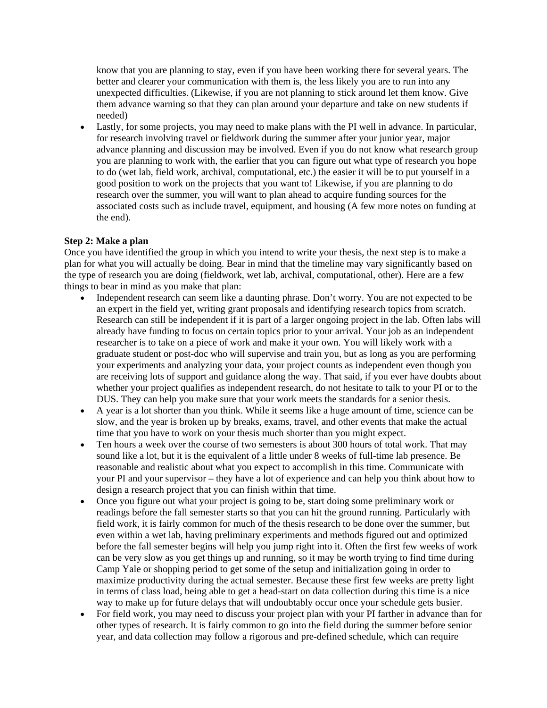know that you are planning to stay, even if you have been working there for several years. The better and clearer your communication with them is, the less likely you are to run into any unexpected difficulties. (Likewise, if you are not planning to stick around let them know. Give them advance warning so that they can plan around your departure and take on new students if needed)

• Lastly, for some projects, you may need to make plans with the PI well in advance. In particular, for research involving travel or fieldwork during the summer after your junior year, major advance planning and discussion may be involved. Even if you do not know what research group you are planning to work with, the earlier that you can figure out what type of research you hope to do (wet lab, field work, archival, computational, etc.) the easier it will be to put yourself in a good position to work on the projects that you want to! Likewise, if you are planning to do research over the summer, you will want to plan ahead to acquire funding sources for the associated costs such as include travel, equipment, and housing (A few more notes on funding at the end).

# **Step 2: Make a plan**

Once you have identified the group in which you intend to write your thesis, the next step is to make a plan for what you will actually be doing. Bear in mind that the timeline may vary significantly based on the type of research you are doing (fieldwork, wet lab, archival, computational, other). Here are a few things to bear in mind as you make that plan:

- Independent research can seem like a daunting phrase. Don't worry. You are not expected to be an expert in the field yet, writing grant proposals and identifying research topics from scratch. Research can still be independent if it is part of a larger ongoing project in the lab. Often labs will already have funding to focus on certain topics prior to your arrival. Your job as an independent researcher is to take on a piece of work and make it your own. You will likely work with a graduate student or post-doc who will supervise and train you, but as long as you are performing your experiments and analyzing your data, your project counts as independent even though you are receiving lots of support and guidance along the way. That said, if you ever have doubts about whether your project qualifies as independent research, do not hesitate to talk to your PI or to the DUS. They can help you make sure that your work meets the standards for a senior thesis.
- A year is a lot shorter than you think. While it seems like a huge amount of time, science can be slow, and the year is broken up by breaks, exams, travel, and other events that make the actual time that you have to work on your thesis much shorter than you might expect.
- Ten hours a week over the course of two semesters is about 300 hours of total work. That may sound like a lot, but it is the equivalent of a little under 8 weeks of full-time lab presence. Be reasonable and realistic about what you expect to accomplish in this time. Communicate with your PI and your supervisor – they have a lot of experience and can help you think about how to design a research project that you can finish within that time.
- Once you figure out what your project is going to be, start doing some preliminary work or readings before the fall semester starts so that you can hit the ground running. Particularly with field work, it is fairly common for much of the thesis research to be done over the summer, but even within a wet lab, having preliminary experiments and methods figured out and optimized before the fall semester begins will help you jump right into it. Often the first few weeks of work can be very slow as you get things up and running, so it may be worth trying to find time during Camp Yale or shopping period to get some of the setup and initialization going in order to maximize productivity during the actual semester. Because these first few weeks are pretty light in terms of class load, being able to get a head-start on data collection during this time is a nice way to make up for future delays that will undoubtably occur once your schedule gets busier.
- For field work, you may need to discuss your project plan with your PI farther in advance than for other types of research. It is fairly common to go into the field during the summer before senior year, and data collection may follow a rigorous and pre-defined schedule, which can require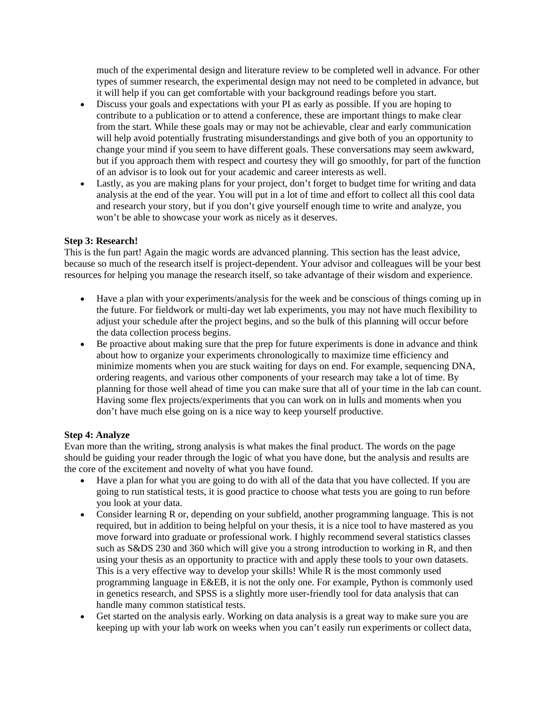much of the experimental design and literature review to be completed well in advance. For other types of summer research, the experimental design may not need to be completed in advance, but it will help if you can get comfortable with your background readings before you start.

- Discuss your goals and expectations with your PI as early as possible. If you are hoping to contribute to a publication or to attend a conference, these are important things to make clear from the start. While these goals may or may not be achievable, clear and early communication will help avoid potentially frustrating misunderstandings and give both of you an opportunity to change your mind if you seem to have different goals. These conversations may seem awkward, but if you approach them with respect and courtesy they will go smoothly, for part of the function of an advisor is to look out for your academic and career interests as well.
- Lastly, as you are making plans for your project, don't forget to budget time for writing and data analysis at the end of the year. You will put in a lot of time and effort to collect all this cool data and research your story, but if you don't give yourself enough time to write and analyze, you won't be able to showcase your work as nicely as it deserves.

# **Step 3: Research!**

This is the fun part! Again the magic words are advanced planning. This section has the least advice, because so much of the research itself is project-dependent. Your advisor and colleagues will be your best resources for helping you manage the research itself, so take advantage of their wisdom and experience.

- Have a plan with your experiments/analysis for the week and be conscious of things coming up in the future. For fieldwork or multi-day wet lab experiments, you may not have much flexibility to adjust your schedule after the project begins, and so the bulk of this planning will occur before the data collection process begins.
- Be proactive about making sure that the prep for future experiments is done in advance and think about how to organize your experiments chronologically to maximize time efficiency and minimize moments when you are stuck waiting for days on end. For example, sequencing DNA, ordering reagents, and various other components of your research may take a lot of time. By planning for those well ahead of time you can make sure that all of your time in the lab can count. Having some flex projects/experiments that you can work on in lulls and moments when you don't have much else going on is a nice way to keep yourself productive.

### **Step 4: Analyze**

Evan more than the writing, strong analysis is what makes the final product. The words on the page should be guiding your reader through the logic of what you have done, but the analysis and results are the core of the excitement and novelty of what you have found.

- Have a plan for what you are going to do with all of the data that you have collected. If you are going to run statistical tests, it is good practice to choose what tests you are going to run before you look at your data.
- Consider learning R or, depending on your subfield, another programming language. This is not required, but in addition to being helpful on your thesis, it is a nice tool to have mastered as you move forward into graduate or professional work. I highly recommend several statistics classes such as S&DS 230 and 360 which will give you a strong introduction to working in R, and then using your thesis as an opportunity to practice with and apply these tools to your own datasets. This is a very effective way to develop your skills! While R is the most commonly used programming language in E&EB, it is not the only one. For example, Python is commonly used in genetics research, and SPSS is a slightly more user-friendly tool for data analysis that can handle many common statistical tests.
- Get started on the analysis early. Working on data analysis is a great way to make sure you are keeping up with your lab work on weeks when you can't easily run experiments or collect data,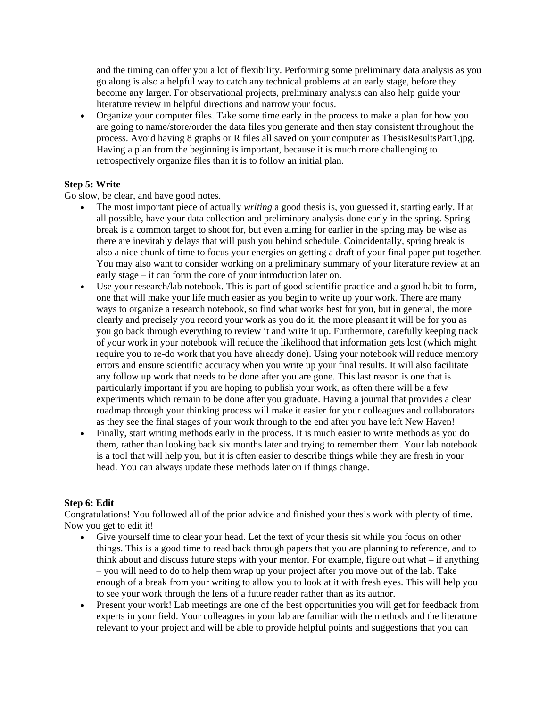and the timing can offer you a lot of flexibility. Performing some preliminary data analysis as you go along is also a helpful way to catch any technical problems at an early stage, before they become any larger. For observational projects, preliminary analysis can also help guide your literature review in helpful directions and narrow your focus.

• Organize your computer files. Take some time early in the process to make a plan for how you are going to name/store/order the data files you generate and then stay consistent throughout the process. Avoid having 8 graphs or R files all saved on your computer as ThesisResultsPart1.jpg. Having a plan from the beginning is important, because it is much more challenging to retrospectively organize files than it is to follow an initial plan.

# **Step 5: Write**

Go slow, be clear, and have good notes.

- The most important piece of actually *writing* a good thesis is, you guessed it, starting early. If at all possible, have your data collection and preliminary analysis done early in the spring. Spring break is a common target to shoot for, but even aiming for earlier in the spring may be wise as there are inevitably delays that will push you behind schedule. Coincidentally, spring break is also a nice chunk of time to focus your energies on getting a draft of your final paper put together. You may also want to consider working on a preliminary summary of your literature review at an early stage – it can form the core of your introduction later on.
- Use your research/lab notebook. This is part of good scientific practice and a good habit to form, one that will make your life much easier as you begin to write up your work. There are many ways to organize a research notebook, so find what works best for you, but in general, the more clearly and precisely you record your work as you do it, the more pleasant it will be for you as you go back through everything to review it and write it up. Furthermore, carefully keeping track of your work in your notebook will reduce the likelihood that information gets lost (which might require you to re-do work that you have already done). Using your notebook will reduce memory errors and ensure scientific accuracy when you write up your final results. It will also facilitate any follow up work that needs to be done after you are gone. This last reason is one that is particularly important if you are hoping to publish your work, as often there will be a few experiments which remain to be done after you graduate. Having a journal that provides a clear roadmap through your thinking process will make it easier for your colleagues and collaborators as they see the final stages of your work through to the end after you have left New Haven!
- Finally, start writing methods early in the process. It is much easier to write methods as you do them, rather than looking back six months later and trying to remember them. Your lab notebook is a tool that will help you, but it is often easier to describe things while they are fresh in your head. You can always update these methods later on if things change.

### **Step 6: Edit**

Congratulations! You followed all of the prior advice and finished your thesis work with plenty of time. Now you get to edit it!

- Give yourself time to clear your head. Let the text of your thesis sit while you focus on other things. This is a good time to read back through papers that you are planning to reference, and to think about and discuss future steps with your mentor. For example, figure out what – if anything – you will need to do to help them wrap up your project after you move out of the lab. Take enough of a break from your writing to allow you to look at it with fresh eyes. This will help you to see your work through the lens of a future reader rather than as its author.
- Present your work! Lab meetings are one of the best opportunities you will get for feedback from experts in your field. Your colleagues in your lab are familiar with the methods and the literature relevant to your project and will be able to provide helpful points and suggestions that you can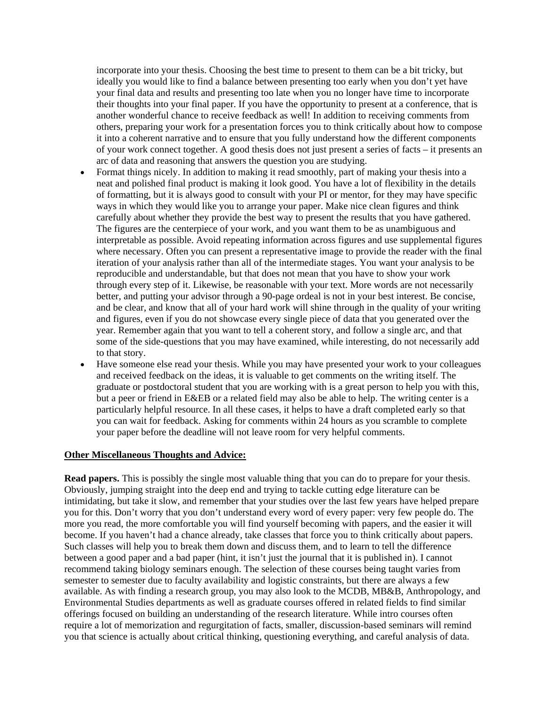incorporate into your thesis. Choosing the best time to present to them can be a bit tricky, but ideally you would like to find a balance between presenting too early when you don't yet have your final data and results and presenting too late when you no longer have time to incorporate their thoughts into your final paper. If you have the opportunity to present at a conference, that is another wonderful chance to receive feedback as well! In addition to receiving comments from others, preparing your work for a presentation forces you to think critically about how to compose it into a coherent narrative and to ensure that you fully understand how the different components of your work connect together. A good thesis does not just present a series of facts – it presents an arc of data and reasoning that answers the question you are studying.

- Format things nicely. In addition to making it read smoothly, part of making your thesis into a neat and polished final product is making it look good. You have a lot of flexibility in the details of formatting, but it is always good to consult with your PI or mentor, for they may have specific ways in which they would like you to arrange your paper. Make nice clean figures and think carefully about whether they provide the best way to present the results that you have gathered. The figures are the centerpiece of your work, and you want them to be as unambiguous and interpretable as possible. Avoid repeating information across figures and use supplemental figures where necessary. Often you can present a representative image to provide the reader with the final iteration of your analysis rather than all of the intermediate stages. You want your analysis to be reproducible and understandable, but that does not mean that you have to show your work through every step of it. Likewise, be reasonable with your text. More words are not necessarily better, and putting your advisor through a 90-page ordeal is not in your best interest. Be concise, and be clear, and know that all of your hard work will shine through in the quality of your writing and figures, even if you do not showcase every single piece of data that you generated over the year. Remember again that you want to tell a coherent story, and follow a single arc, and that some of the side-questions that you may have examined, while interesting, do not necessarily add to that story.
- Have someone else read your thesis. While you may have presented your work to your colleagues and received feedback on the ideas, it is valuable to get comments on the writing itself. The graduate or postdoctoral student that you are working with is a great person to help you with this, but a peer or friend in E&EB or a related field may also be able to help. The writing center is a particularly helpful resource. In all these cases, it helps to have a draft completed early so that you can wait for feedback. Asking for comments within 24 hours as you scramble to complete your paper before the deadline will not leave room for very helpful comments.

#### **Other Miscellaneous Thoughts and Advice:**

**Read papers.** This is possibly the single most valuable thing that you can do to prepare for your thesis. Obviously, jumping straight into the deep end and trying to tackle cutting edge literature can be intimidating, but take it slow, and remember that your studies over the last few years have helped prepare you for this. Don't worry that you don't understand every word of every paper: very few people do. The more you read, the more comfortable you will find yourself becoming with papers, and the easier it will become. If you haven't had a chance already, take classes that force you to think critically about papers. Such classes will help you to break them down and discuss them, and to learn to tell the difference between a good paper and a bad paper (hint, it isn't just the journal that it is published in). I cannot recommend taking biology seminars enough. The selection of these courses being taught varies from semester to semester due to faculty availability and logistic constraints, but there are always a few available. As with finding a research group, you may also look to the MCDB, MB&B, Anthropology, and Environmental Studies departments as well as graduate courses offered in related fields to find similar offerings focused on building an understanding of the research literature. While intro courses often require a lot of memorization and regurgitation of facts, smaller, discussion-based seminars will remind you that science is actually about critical thinking, questioning everything, and careful analysis of data.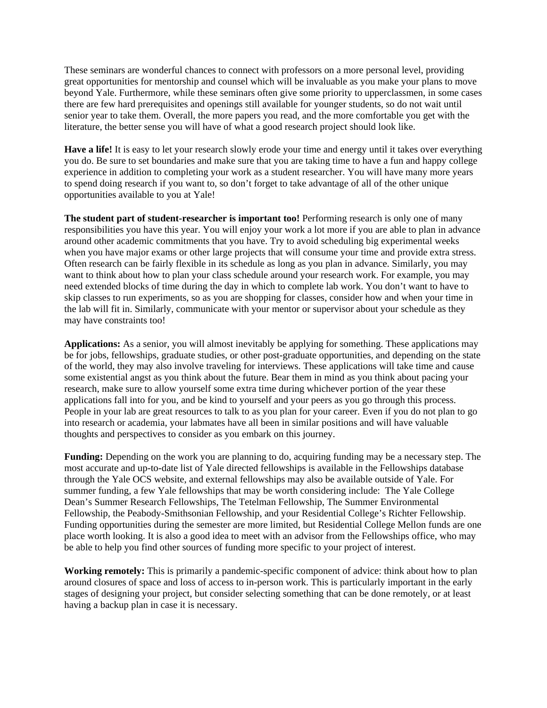These seminars are wonderful chances to connect with professors on a more personal level, providing great opportunities for mentorship and counsel which will be invaluable as you make your plans to move beyond Yale. Furthermore, while these seminars often give some priority to upperclassmen, in some cases there are few hard prerequisites and openings still available for younger students, so do not wait until senior year to take them. Overall, the more papers you read, and the more comfortable you get with the literature, the better sense you will have of what a good research project should look like.

**Have a life!** It is easy to let your research slowly erode your time and energy until it takes over everything you do. Be sure to set boundaries and make sure that you are taking time to have a fun and happy college experience in addition to completing your work as a student researcher. You will have many more years to spend doing research if you want to, so don't forget to take advantage of all of the other unique opportunities available to you at Yale!

**The student part of student-researcher is important too!** Performing research is only one of many responsibilities you have this year. You will enjoy your work a lot more if you are able to plan in advance around other academic commitments that you have. Try to avoid scheduling big experimental weeks when you have major exams or other large projects that will consume your time and provide extra stress. Often research can be fairly flexible in its schedule as long as you plan in advance. Similarly, you may want to think about how to plan your class schedule around your research work. For example, you may need extended blocks of time during the day in which to complete lab work. You don't want to have to skip classes to run experiments, so as you are shopping for classes, consider how and when your time in the lab will fit in. Similarly, communicate with your mentor or supervisor about your schedule as they may have constraints too!

**Applications:** As a senior, you will almost inevitably be applying for something. These applications may be for jobs, fellowships, graduate studies, or other post-graduate opportunities, and depending on the state of the world, they may also involve traveling for interviews. These applications will take time and cause some existential angst as you think about the future. Bear them in mind as you think about pacing your research, make sure to allow yourself some extra time during whichever portion of the year these applications fall into for you, and be kind to yourself and your peers as you go through this process. People in your lab are great resources to talk to as you plan for your career. Even if you do not plan to go into research or academia, your labmates have all been in similar positions and will have valuable thoughts and perspectives to consider as you embark on this journey.

**Funding:** Depending on the work you are planning to do, acquiring funding may be a necessary step. The most accurate and up-to-date list of Yale directed fellowships is available in the Fellowships database through the Yale OCS website, and external fellowships may also be available outside of Yale. For summer funding, a few Yale fellowships that may be worth considering include: The Yale College Dean's Summer Research Fellowships, The Tetelman Fellowship, The Summer Environmental Fellowship, the Peabody-Smithsonian Fellowship, and your Residential College's Richter Fellowship. Funding opportunities during the semester are more limited, but Residential College Mellon funds are one place worth looking. It is also a good idea to meet with an advisor from the Fellowships office, who may be able to help you find other sources of funding more specific to your project of interest.

**Working remotely:** This is primarily a pandemic-specific component of advice: think about how to plan around closures of space and loss of access to in-person work. This is particularly important in the early stages of designing your project, but consider selecting something that can be done remotely, or at least having a backup plan in case it is necessary.